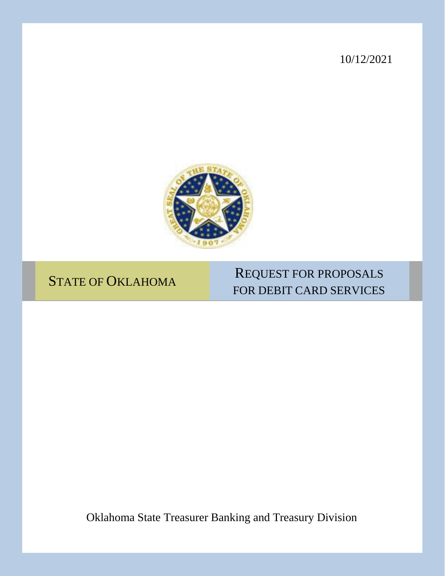10/12/2021



# STATE OF OKLAHOMA

# REQUEST FOR PROPOSALS FOR DEBIT CARD SERVICES

Oklahoma State Treasurer Banking and Treasury Division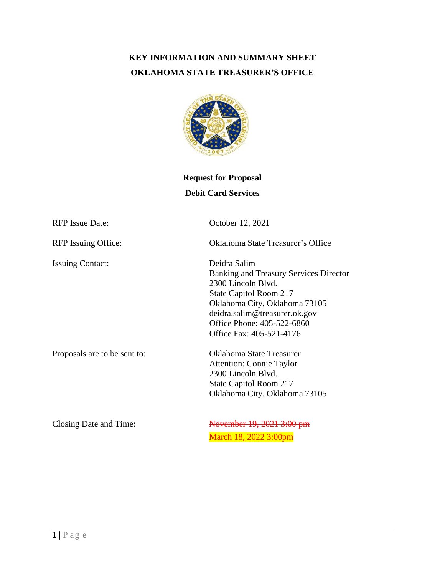# **KEY INFORMATION AND SUMMARY SHEET OKLAHOMA STATE TREASURER'S OFFICE**



# **Request for Proposal Debit Card Services**

| <b>RFP</b> Issue Date:       | October 12, 2021                                                                                                                                                                                                                          |  |  |
|------------------------------|-------------------------------------------------------------------------------------------------------------------------------------------------------------------------------------------------------------------------------------------|--|--|
| <b>RFP</b> Issuing Office:   | Oklahoma State Treasurer's Office                                                                                                                                                                                                         |  |  |
| <b>Issuing Contact:</b>      | Deidra Salim<br><b>Banking and Treasury Services Director</b><br>2300 Lincoln Blvd.<br>State Capitol Room 217<br>Oklahoma City, Oklahoma 73105<br>deidra.salim@treasurer.ok.gov<br>Office Phone: 405-522-6860<br>Office Fax: 405-521-4176 |  |  |
| Proposals are to be sent to: | <b>Oklahoma State Treasurer</b><br><b>Attention: Connie Taylor</b><br>2300 Lincoln Blvd.<br>State Capitol Room 217<br>Oklahoma City, Oklahoma 73105                                                                                       |  |  |
| Closing Date and Time:       | November 19, 2021 3:00 pm<br>March 18, 2022 3:00pm                                                                                                                                                                                        |  |  |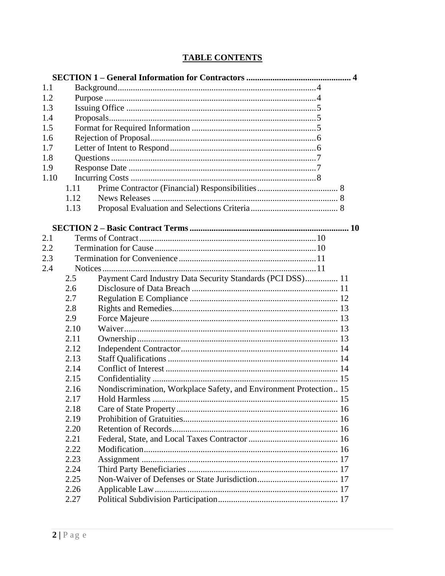# **TABLE CONTENTS**

| 1.1  |      |                                                                    |  |
|------|------|--------------------------------------------------------------------|--|
| 1.2  |      |                                                                    |  |
| 1.3  |      |                                                                    |  |
| 1.4  |      |                                                                    |  |
| 1.5  |      |                                                                    |  |
| 1.6  |      |                                                                    |  |
| 1.7  |      |                                                                    |  |
| 1.8  |      |                                                                    |  |
| 1.9  |      |                                                                    |  |
| 1.10 |      |                                                                    |  |
|      | 1.11 |                                                                    |  |
|      | 1.12 |                                                                    |  |
|      | 1.13 |                                                                    |  |
|      |      |                                                                    |  |
|      |      |                                                                    |  |
| 2.1  |      |                                                                    |  |
| 2.2  |      |                                                                    |  |
| 2.3  |      |                                                                    |  |
| 2.4  |      |                                                                    |  |
|      | 2.5  | Payment Card Industry Data Security Standards (PCI DSS) 11         |  |
|      | 2.6  |                                                                    |  |
|      | 2.7  |                                                                    |  |
|      | 2.8  |                                                                    |  |
|      | 2.9  |                                                                    |  |
|      | 2.10 |                                                                    |  |
|      | 2.11 |                                                                    |  |
|      | 2.12 |                                                                    |  |
|      | 2.13 |                                                                    |  |
|      | 2.14 |                                                                    |  |
|      | 2.15 |                                                                    |  |
|      | 2.16 | Nondiscrimination, Workplace Safety, and Environment Protection 15 |  |
|      | 2.17 |                                                                    |  |
|      | 2.18 |                                                                    |  |
|      | 2.19 |                                                                    |  |
|      | 2.20 |                                                                    |  |
|      | 2.21 |                                                                    |  |
|      | 2.22 |                                                                    |  |
|      | 2.23 |                                                                    |  |
|      | 2.24 |                                                                    |  |
|      | 2.25 |                                                                    |  |
|      | 2.26 |                                                                    |  |
|      | 2.27 |                                                                    |  |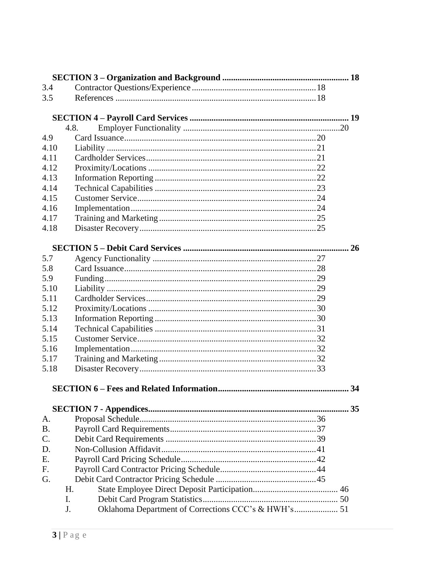| 3.4             |                                                           |  |
|-----------------|-----------------------------------------------------------|--|
| 3.5             |                                                           |  |
|                 |                                                           |  |
|                 |                                                           |  |
|                 | 4.8.                                                      |  |
| 4.9             |                                                           |  |
| 4.10            |                                                           |  |
| 4.11            |                                                           |  |
| 4.12            |                                                           |  |
| 4.13            |                                                           |  |
| 4.14            |                                                           |  |
| 4.15            |                                                           |  |
| 4.16            |                                                           |  |
| 4.17            |                                                           |  |
| 4.18            |                                                           |  |
|                 |                                                           |  |
| 5.7             |                                                           |  |
| 5.8             |                                                           |  |
| 5.9             |                                                           |  |
| 5.10            |                                                           |  |
| 5.11            |                                                           |  |
| 5.12            |                                                           |  |
| 5.13            |                                                           |  |
| 5.14            |                                                           |  |
| 5.15            |                                                           |  |
| 5.16            |                                                           |  |
| 5.17            |                                                           |  |
| 5.18            |                                                           |  |
|                 |                                                           |  |
|                 |                                                           |  |
|                 |                                                           |  |
| A.              |                                                           |  |
| <b>B.</b>       |                                                           |  |
| $\mathcal{C}$ . |                                                           |  |
| D.              |                                                           |  |
| E.              |                                                           |  |
| F.              |                                                           |  |
| G.              |                                                           |  |
|                 | H.                                                        |  |
|                 | I.                                                        |  |
|                 | Oklahoma Department of Corrections CCC's & HWH's 51<br>J. |  |
|                 |                                                           |  |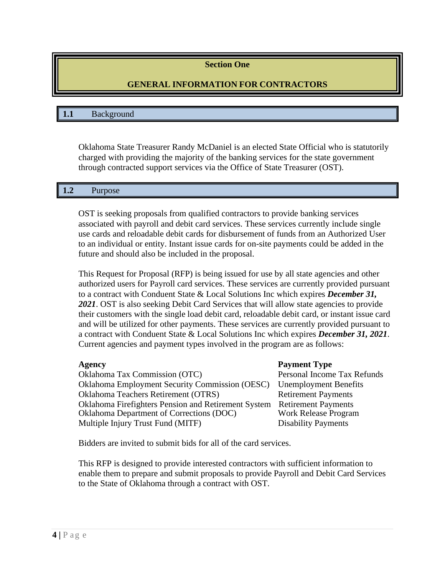# **Section One**

# **GENERAL INFORMATION FOR CONTRACTORS**

#### **1.1** Background

Oklahoma State Treasurer Randy McDaniel is an elected State Official who is statutorily charged with providing the majority of the banking services for the state government through contracted support services via the Office of State Treasurer (OST).

#### **1.2** Purpose

OST is seeking proposals from qualified contractors to provide banking services associated with payroll and debit card services. These services currently include single use cards and reloadable debit cards for disbursement of funds from an Authorized User to an individual or entity. Instant issue cards for on-site payments could be added in the future and should also be included in the proposal.

This Request for Proposal (RFP) is being issued for use by all state agencies and other authorized users for Payroll card services. These services are currently provided pursuant to a contract with Conduent State & Local Solutions Inc which expires *December 31,* 2021. OST is also seeking Debit Card Services that will allow state agencies to provide their customers with the single load debit card, reloadable debit card, or instant issue card and will be utilized for other payments. These services are currently provided pursuant to a contract with Conduent State & Local Solutions Inc which expires *December 31, 2021*. Current agencies and payment types involved in the program are as follows:

Oklahoma Tax Commission (OTC) Personal Income Tax Refunds Oklahoma Employment Security Commission (OESC) Unemployment Benefits Oklahoma Teachers Retirement (OTRS) Retirement Payments Oklahoma Firefighters Pension and Retirement System Retirement Payments Oklahoma Department of Corrections (DOC) Work Release Program Multiple Injury Trust Fund (MITF) Disability Payments

#### **Agency Payment Type**

Bidders are invited to submit bids for all of the card services.

This RFP is designed to provide interested contractors with sufficient information to enable them to prepare and submit proposals to provide Payroll and Debit Card Services to the State of Oklahoma through a contract with OST.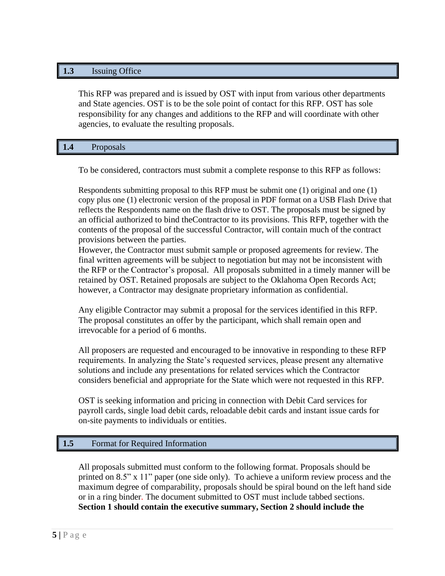# **1.3** Issuing Office

This RFP was prepared and is issued by OST with input from various other departments and State agencies. OST is to be the sole point of contact for this RFP. OST has sole responsibility for any changes and additions to the RFP and will coordinate with other agencies, to evaluate the resulting proposals.

| $\overline{\phantom{a}}$<br>--<br>$- - -$ | заю<br>$    -$<br>-- |  |  |  |  |  |  |
|-------------------------------------------|----------------------|--|--|--|--|--|--|
|-------------------------------------------|----------------------|--|--|--|--|--|--|

To be considered, contractors must submit a complete response to this RFP as follows:

Respondents submitting proposal to this RFP must be submit one (1) original and one (1) copy plus one (1) electronic version of the proposal in PDF format on a USB Flash Drive that reflects the Respondents name on the flash drive to OST. The proposals must be signed by an official authorized to bind theContractor to its provisions. This RFP, together with the contents of the proposal of the successful Contractor, will contain much of the contract provisions between the parties.

However, the Contractor must submit sample or proposed agreements for review. The final written agreements will be subject to negotiation but may not be inconsistent with the RFP or the Contractor's proposal. All proposals submitted in a timely manner will be retained by OST. Retained proposals are subject to the Oklahoma Open Records Act; however, a Contractor may designate proprietary information as confidential.

Any eligible Contractor may submit a proposal for the services identified in this RFP. The proposal constitutes an offer by the participant, which shall remain open and irrevocable for a period of 6 months.

All proposers are requested and encouraged to be innovative in responding to these RFP requirements. In analyzing the State's requested services, please present any alternative solutions and include any presentations for related services which the Contractor considers beneficial and appropriate for the State which were not requested in this RFP.

OST is seeking information and pricing in connection with Debit Card services for payroll cards, single load debit cards, reloadable debit cards and instant issue cards for on-site payments to individuals or entities.

# **1.5** Format for Required Information

All proposals submitted must conform to the following format. Proposals should be printed on 8.5" x 11" paper (one side only). To achieve a uniform review process and the maximum degree of comparability, proposals should be spiral bound on the left hand side or in a ring binder. The document submitted to OST must include tabbed sections. **Section 1 should contain the executive summary, Section 2 should include the**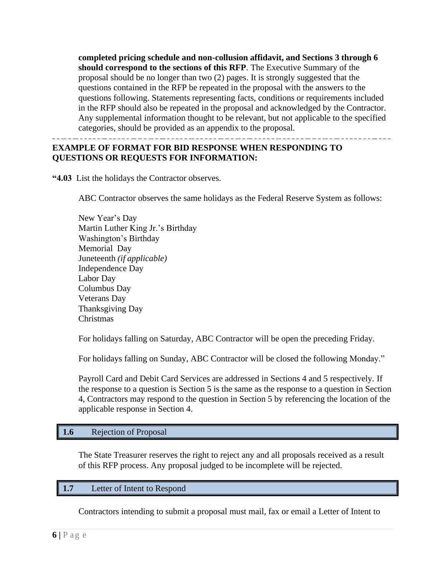**completed pricing schedule and non-collusion affidavit, and Sections 3 through 6 should correspond to the sections of this RFP**. The Executive Summary of the proposal should be no longer than two (2) pages. It is strongly suggested that the questions contained in the RFP be repeated in the proposal with the answers to the questions following. Statements representing facts, conditions or requirements included in the RFP should also be repeated in the proposal and acknowledged by the Contractor. Any supplemental information thought to be relevant, but not applicable to the specified categories, should be provided as an appendix to the proposal.

# **EXAMPLE OF FORMAT FOR BID RESPONSE WHEN RESPONDING TO QUESTIONS OR REQUESTS FOR INFORMATION:**

**"4.03** List the holidays the Contractor observes.

ABC Contractor observes the same holidays as the Federal Reserve System as follows:

New Year's Day Martin Luther King Jr.'s Birthday Washington's Birthday Memorial Day Juneteenth *(if applicable)* Independence Day Labor Day Columbus Day Veterans Day Thanksgiving Day Christmas

For holidays falling on Saturday, ABC Contractor will be open the preceding Friday.

For holidays falling on Sunday, ABC Contractor will be closed the following Monday."

Payroll Card and Debit Card Services are addressed in Sections 4 and 5 respectively. If the response to a question is Section 5 is the same as the response to a question in Section 4, Contractors may respond to the question in Section 5 by referencing the location of the applicable response in Section 4.

# **1.6** Rejection of Proposal

The State Treasurer reserves the right to reject any and all proposals received as a result of this RFP process. Any proposal judged to be incomplete will be rejected.

# **1.7** Letter of Intent to Respond

Contractors intending to submit a proposal must mail, fax or email a Letter of Intent to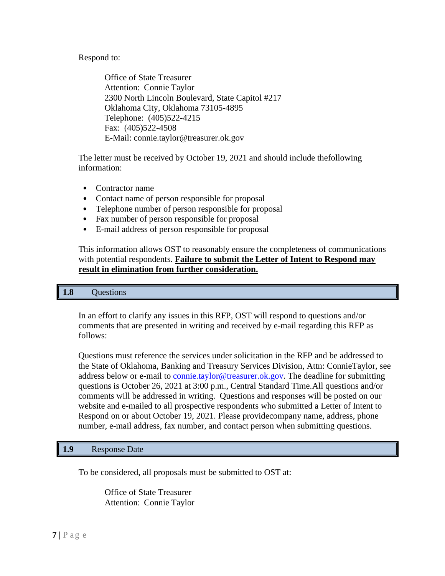Respond to:

Office of State Treasurer Attention: Connie Taylor 2300 North Lincoln Boulevard, State Capitol #217 Oklahoma City, Oklahoma 73105-4895 Telephone: (405)522-4215 Fax: (405)522-4508 E-Mail: [connie.taylor@treasurer.ok.gov](mailto:connie.taylor@treasurer.ok.gov)

The letter must be received by October 19, 2021 and should include thefollowing information:

- Contractor name
- Contact name of person responsible for proposal
- Telephone number of person responsible for proposal
- Fax number of person responsible for proposal
- E-mail address of person responsible for proposal

This information allows OST to reasonably ensure the completeness of communications with potential respondents. **Failure to submit the Letter of Intent to Respond may result in elimination from further consideration.**

#### **1.8** Questions

In an effort to clarify any issues in this RFP, OST will respond to questions and/or comments that are presented in writing and received by e-mail regarding this RFP as follows:

Questions must reference the services under solicitation in the RFP and be addressed to the State of Oklahoma, Banking and Treasury Services Division, Attn: ConnieTaylor, see address below or e-mail to [connie.taylor@treasurer.ok.gov.](mailto:connie.taylor@treasurer.ok.gov) The deadline for submitting questions is October 26, 2021 at 3:00 p.m., Central Standard Time.All questions and/or comments will be addressed in writing. Questions and responses will be posted on our website and e-mailed to all prospective respondents who submitted a Letter of Intent to Respond on or about October 19, 2021. Please providecompany name, address, phone number, e-mail address, fax number, and contact person when submitting questions.

#### **1.9** Response Date

To be considered, all proposals must be submitted to OST at:

Office of State Treasurer Attention: Connie Taylor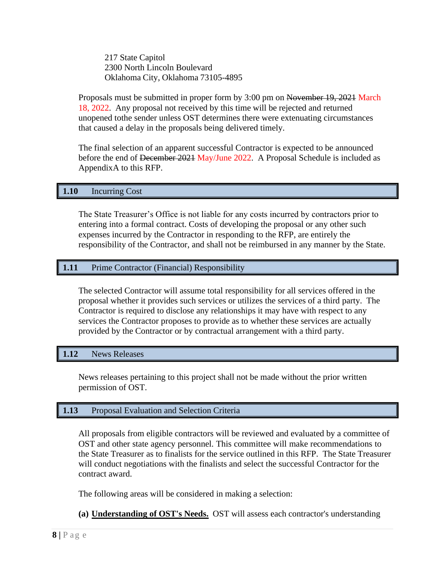217 State Capitol 2300 North Lincoln Boulevard Oklahoma City, Oklahoma 73105-4895

Proposals must be submitted in proper form by 3:00 pm on November 19, 2021 March 18, 2022. Any proposal not received by this time will be rejected and returned unopened tothe sender unless OST determines there were extenuating circumstances that caused a delay in the proposals being delivered timely.

The final selection of an apparent successful Contractor is expected to be announced before the end of December 2021 May/June 2022. A Proposal Schedule is included as AppendixA to this RFP.

# **1.10** Incurring Cost

The State Treasurer's Office is not liable for any costs incurred by contractors prior to entering into a formal contract. Costs of developing the proposal or any other such expenses incurred by the Contractor in responding to the RFP, are entirely the responsibility of the Contractor, and shall not be reimbursed in any manner by the State.

# **1.11** Prime Contractor (Financial) Responsibility

The selected Contractor will assume total responsibility for all services offered in the proposal whether it provides such services or utilizes the services of a third party. The Contractor is required to disclose any relationships it may have with respect to any services the Contractor proposes to provide as to whether these services are actually provided by the Contractor or by contractual arrangement with a third party.

# **1.12** News Releases

News releases pertaining to this project shall not be made without the prior written permission of OST.

# **1.13** Proposal Evaluation and Selection Criteria

All proposals from eligible contractors will be reviewed and evaluated by a committee of OST and other state agency personnel. This committee will make recommendations to the State Treasurer as to finalists for the service outlined in this RFP. The State Treasurer will conduct negotiations with the finalists and select the successful Contractor for the contract award.

The following areas will be considered in making a selection:

# **(a) Understanding of OST's Needs.** OST will assess each contractor's understanding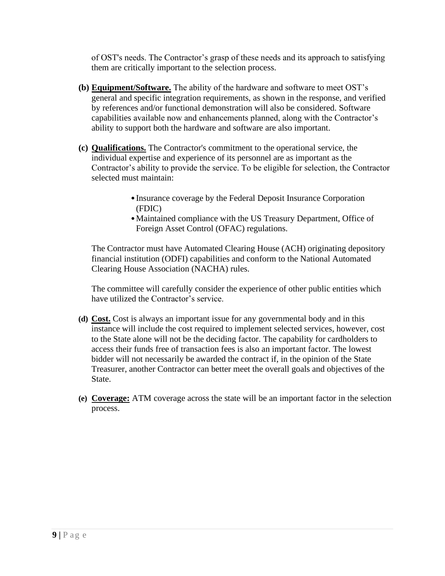of OST's needs. The Contractor's grasp of these needs and its approach to satisfying them are critically important to the selection process.

- **(b) Equipment/Software.** The ability of the hardware and software to meet OST's general and specific integration requirements, as shown in the response, and verified by references and/or functional demonstration will also be considered. Software capabilities available now and enhancements planned, along with the Contractor's ability to support both the hardware and software are also important.
- **(c) Qualifications.** The Contractor's commitment to the operational service, the individual expertise and experience of its personnel are as important as the Contractor's ability to provide the service. To be eligible for selection, the Contractor selected must maintain:
	- •Insurance coverage by the Federal Deposit Insurance Corporation (FDIC)
	- •Maintained compliance with the US Treasury Department, Office of Foreign Asset Control (OFAC) regulations.

The Contractor must have Automated Clearing House (ACH) originating depository financial institution (ODFI) capabilities and conform to the National Automated Clearing House Association (NACHA) rules.

The committee will carefully consider the experience of other public entities which have utilized the Contractor's service.

- **(d) Cost.** Cost is always an important issue for any governmental body and in this instance will include the cost required to implement selected services, however, cost to the State alone will not be the deciding factor. The capability for cardholders to access their funds free of transaction fees is also an important factor. The lowest bidder will not necessarily be awarded the contract if, in the opinion of the State Treasurer, another Contractor can better meet the overall goals and objectives of the State.
- **(e) Coverage:** ATM coverage across the state will be an important factor in the selection process.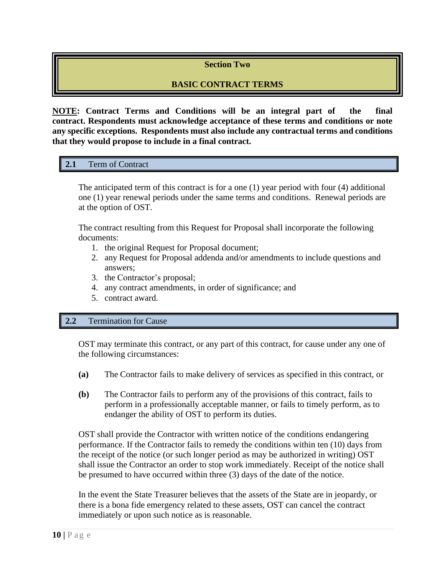# **Section Two**

# **BASIC CONTRACT TERMS**

**NOTE: Contract Terms and Conditions will be an integral part of the final contract. Respondents must acknowledge acceptance of these terms and conditions or note any specific exceptions. Respondents must also include any contractual terms and conditions that they would propose to include in a final contract.**

# **2.1** Term of Contract

The anticipated term of this contract is for a one (1) year period with four (4) additional one (1) year renewal periods under the same terms and conditions. Renewal periods are at the option of OST.

The contract resulting from this Request for Proposal shall incorporate the following documents:

- 1. the original Request for Proposal document;
- 2. any Request for Proposal addenda and/or amendments to include questions and answers;
- 3. the Contractor's proposal;
- 4. any contract amendments, in order of significance; and
- 5. contract award.

#### **2.2** Termination for Cause

OST may terminate this contract, or any part of this contract, for cause under any one of the following circumstances:

- **(a)** The Contractor fails to make delivery of services as specified in this contract, or
- **(b)** The Contractor fails to perform any of the provisions of this contract, fails to perform in a professionally acceptable manner, or fails to timely perform, as to endanger the ability of OST to perform its duties.

OST shall provide the Contractor with written notice of the conditions endangering performance. If the Contractor fails to remedy the conditions within ten (10) days from the receipt of the notice (or such longer period as may be authorized in writing) OST shall issue the Contractor an order to stop work immediately. Receipt of the notice shall be presumed to have occurred within three (3) days of the date of the notice.

In the event the State Treasurer believes that the assets of the State are in jeopardy, or there is a bona fide emergency related to these assets, OST can cancel the contract immediately or upon such notice as is reasonable.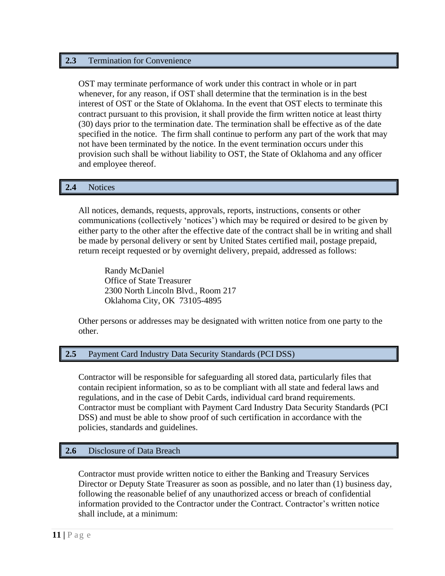## **2.3** Termination for Convenience

OST may terminate performance of work under this contract in whole or in part whenever, for any reason, if OST shall determine that the termination is in the best interest of OST or the State of Oklahoma. In the event that OST elects to terminate this contract pursuant to this provision, it shall provide the firm written notice at least thirty (30) days prior to the termination date. The termination shall be effective as of the date specified in the notice. The firm shall continue to perform any part of the work that may not have been terminated by the notice. In the event termination occurs under this provision such shall be without liability to OST, the State of Oklahoma and any officer and employee thereof.

# **2.4** Notices

All notices, demands, requests, approvals, reports, instructions, consents or other communications (collectively 'notices') which may be required or desired to be given by either party to the other after the effective date of the contract shall be in writing and shall be made by personal delivery or sent by United States certified mail, postage prepaid, return receipt requested or by overnight delivery, prepaid, addressed as follows:

Randy McDaniel Office of State Treasurer 2300 North Lincoln Blvd., Room 217 Oklahoma City, OK 73105-4895

Other persons or addresses may be designated with written notice from one party to the other.

#### **2.5** Payment Card Industry Data Security Standards (PCI DSS)

Contractor will be responsible for safeguarding all stored data, particularly files that contain recipient information, so as to be compliant with all state and federal laws and regulations, and in the case of Debit Cards, individual card brand requirements. Contractor must be compliant with Payment Card Industry Data Security Standards (PCI DSS) and must be able to show proof of such certification in accordance with the policies, standards and guidelines.

#### **2.6** Disclosure of Data Breach

Contractor must provide written notice to either the Banking and Treasury Services Director or Deputy State Treasurer as soon as possible, and no later than (1) business day, following the reasonable belief of any unauthorized access or breach of confidential information provided to the Contractor under the Contract. Contractor's written notice shall include, at a minimum: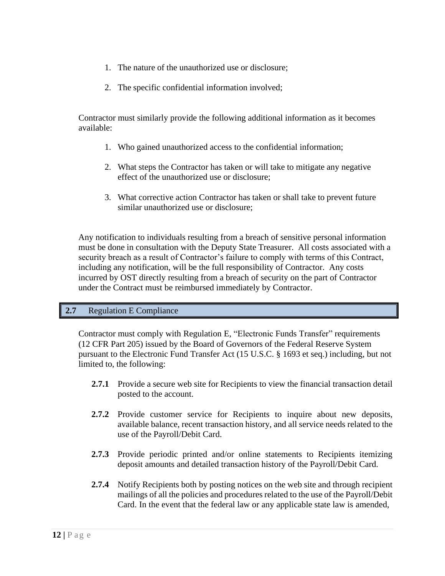- 1. The nature of the unauthorized use or disclosure;
- 2. The specific confidential information involved;

Contractor must similarly provide the following additional information as it becomes available:

- 1. Who gained unauthorized access to the confidential information;
- 2. What steps the Contractor has taken or will take to mitigate any negative effect of the unauthorized use or disclosure;
- 3. What corrective action Contractor has taken or shall take to prevent future similar unauthorized use or disclosure;

Any notification to individuals resulting from a breach of sensitive personal information must be done in consultation with the Deputy State Treasurer. All costs associated with a security breach as a result of Contractor's failure to comply with terms of this Contract, including any notification, will be the full responsibility of Contractor. Any costs incurred by OST directly resulting from a breach of security on the part of Contractor under the Contract must be reimbursed immediately by Contractor.

# **2.7** Regulation E Compliance

Contractor must comply with Regulation E, "Electronic Funds Transfer" requirements (12 CFR Part 205) issued by the Board of Governors of the Federal Reserve System pursuant to the Electronic Fund Transfer Act (15 U.S.C. § 1693 et seq.) including, but not limited to, the following:

- **2.7.1** Provide a secure web site for Recipients to view the financial transaction detail posted to the account.
- **2.7.2** Provide customer service for Recipients to inquire about new deposits, available balance, recent transaction history, and all service needs related to the use of the Payroll/Debit Card.
- **2.7.3** Provide periodic printed and/or online statements to Recipients itemizing deposit amounts and detailed transaction history of the Payroll/Debit Card.
- **2.7.4** Notify Recipients both by posting notices on the web site and through recipient mailings of all the policies and procedures related to the use of the Payroll/Debit Card. In the event that the federal law or any applicable state law is amended,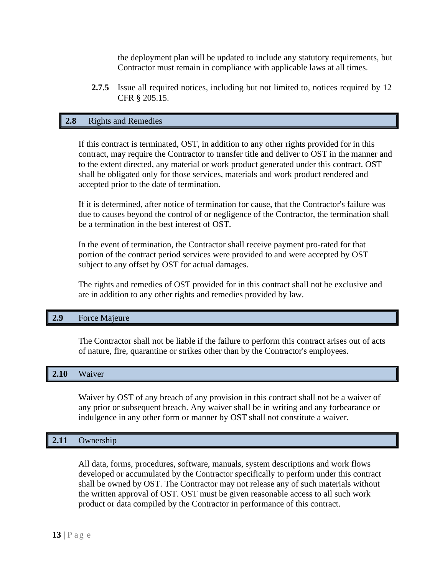the deployment plan will be updated to include any statutory requirements, but Contractor must remain in compliance with applicable laws at all times.

**2.7.5** Issue all required notices, including but not limited to, notices required by 12 CFR § 205.15.

# **2.8** Rights and Remedies

If this contract is terminated, OST, in addition to any other rights provided for in this contract, may require the Contractor to transfer title and deliver to OST in the manner and to the extent directed, any material or work product generated under this contract. OST shall be obligated only for those services, materials and work product rendered and accepted prior to the date of termination.

If it is determined, after notice of termination for cause, that the Contractor's failure was due to causes beyond the control of or negligence of the Contractor, the termination shall be a termination in the best interest of OST.

In the event of termination, the Contractor shall receive payment pro-rated for that portion of the contract period services were provided to and were accepted by OST subject to any offset by OST for actual damages.

The rights and remedies of OST provided for in this contract shall not be exclusive and are in addition to any other rights and remedies provided by law.

#### **2.9** Force Majeure

The Contractor shall not be liable if the failure to perform this contract arises out of acts of nature, fire, quarantine or strikes other than by the Contractor's employees.

#### **2.10** Waiver

Waiver by OST of any breach of any provision in this contract shall not be a waiver of any prior or subsequent breach. Any waiver shall be in writing and any forbearance or indulgence in any other form or manner by OST shall not constitute a waiver.

# **2.11** Ownership

All data, forms, procedures, software, manuals, system descriptions and work flows developed or accumulated by the Contractor specifically to perform under this contract shall be owned by OST. The Contractor may not release any of such materials without the written approval of OST. OST must be given reasonable access to all such work product or data compiled by the Contractor in performance of this contract.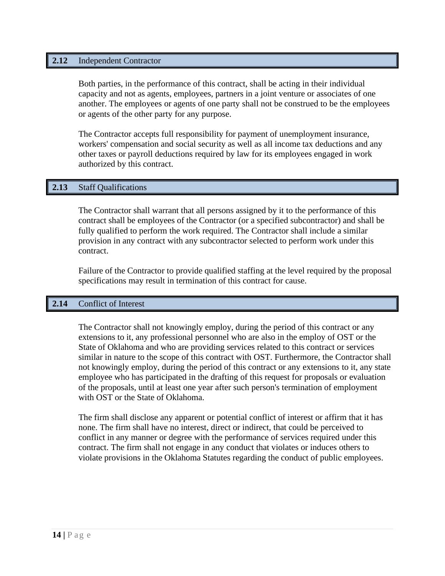#### **2.12** Independent Contractor

Both parties, in the performance of this contract, shall be acting in their individual capacity and not as agents, employees, partners in a joint venture or associates of one another. The employees or agents of one party shall not be construed to be the employees or agents of the other party for any purpose.

The Contractor accepts full responsibility for payment of unemployment insurance, workers' compensation and social security as well as all income tax deductions and any other taxes or payroll deductions required by law for its employees engaged in work authorized by this contract.

# **2.13** Staff Qualifications

The Contractor shall warrant that all persons assigned by it to the performance of this contract shall be employees of the Contractor (or a specified subcontractor) and shall be fully qualified to perform the work required. The Contractor shall include a similar provision in any contract with any subcontractor selected to perform work under this contract.

Failure of the Contractor to provide qualified staffing at the level required by the proposal specifications may result in termination of this contract for cause.

#### **2.14** Conflict of Interest

The Contractor shall not knowingly employ, during the period of this contract or any extensions to it, any professional personnel who are also in the employ of OST or the State of Oklahoma and who are providing services related to this contract or services similar in nature to the scope of this contract with OST. Furthermore, the Contractor shall not knowingly employ, during the period of this contract or any extensions to it, any state employee who has participated in the drafting of this request for proposals or evaluation of the proposals, until at least one year after such person's termination of employment with OST or the State of Oklahoma.

The firm shall disclose any apparent or potential conflict of interest or affirm that it has none. The firm shall have no interest, direct or indirect, that could be perceived to conflict in any manner or degree with the performance of services required under this contract. The firm shall not engage in any conduct that violates or induces others to violate provisions in the Oklahoma Statutes regarding the conduct of public employees.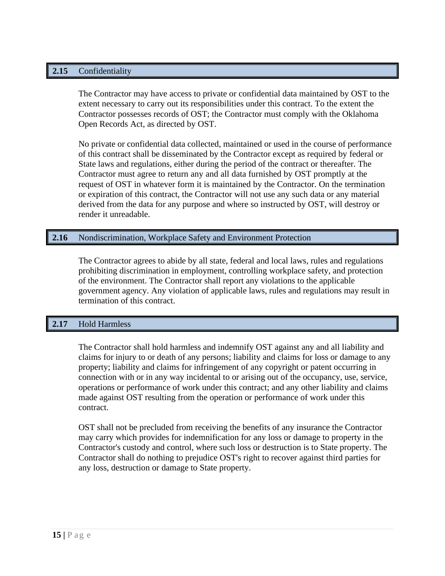# **2.15** Confidentiality

The Contractor may have access to private or confidential data maintained by OST to the extent necessary to carry out its responsibilities under this contract. To the extent the Contractor possesses records of OST; the Contractor must comply with the Oklahoma Open Records Act, as directed by OST.

No private or confidential data collected, maintained or used in the course of performance of this contract shall be disseminated by the Contractor except as required by federal or State laws and regulations, either during the period of the contract or thereafter. The Contractor must agree to return any and all data furnished by OST promptly at the request of OST in whatever form it is maintained by the Contractor. On the termination or expiration of this contract, the Contractor will not use any such data or any material derived from the data for any purpose and where so instructed by OST, will destroy or render it unreadable.

# **2.16** Nondiscrimination, Workplace Safety and Environment Protection

The Contractor agrees to abide by all state, federal and local laws, rules and regulations prohibiting discrimination in employment, controlling workplace safety, and protection of the environment. The Contractor shall report any violations to the applicable government agency. Any violation of applicable laws, rules and regulations may result in termination of this contract.

# **2.17** Hold Harmless

The Contractor shall hold harmless and indemnify OST against any and all liability and claims for injury to or death of any persons; liability and claims for loss or damage to any property; liability and claims for infringement of any copyright or patent occurring in connection with or in any way incidental to or arising out of the occupancy, use, service, operations or performance of work under this contract; and any other liability and claims made against OST resulting from the operation or performance of work under this contract.

OST shall not be precluded from receiving the benefits of any insurance the Contractor may carry which provides for indemnification for any loss or damage to property in the Contractor's custody and control, where such loss or destruction is to State property. The Contractor shall do nothing to prejudice OST's right to recover against third parties for any loss, destruction or damage to State property.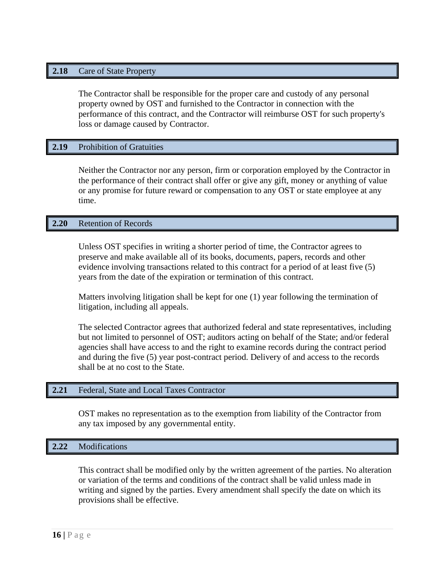## **2.18** Care of State Property

The Contractor shall be responsible for the proper care and custody of any personal property owned by OST and furnished to the Contractor in connection with the performance of this contract, and the Contractor will reimburse OST for such property's loss or damage caused by Contractor.

#### **2.19** Prohibition of Gratuities

Neither the Contractor nor any person, firm or corporation employed by the Contractor in the performance of their contract shall offer or give any gift, money or anything of value or any promise for future reward or compensation to any OST or state employee at any time.

#### **2.20** Retention of Records

Unless OST specifies in writing a shorter period of time, the Contractor agrees to preserve and make available all of its books, documents, papers, records and other evidence involving transactions related to this contract for a period of at least five (5) years from the date of the expiration or termination of this contract.

Matters involving litigation shall be kept for one (1) year following the termination of litigation, including all appeals.

The selected Contractor agrees that authorized federal and state representatives, including but not limited to personnel of OST; auditors acting on behalf of the State; and/or federal agencies shall have access to and the right to examine records during the contract period and during the five (5) year post-contract period. Delivery of and access to the records shall be at no cost to the State.

#### **2.21** Federal, State and Local Taxes Contractor

OST makes no representation as to the exemption from liability of the Contractor from any tax imposed by any governmental entity.

#### **2.22** Modifications

This contract shall be modified only by the written agreement of the parties. No alteration or variation of the terms and conditions of the contract shall be valid unless made in writing and signed by the parties. Every amendment shall specify the date on which its provisions shall be effective.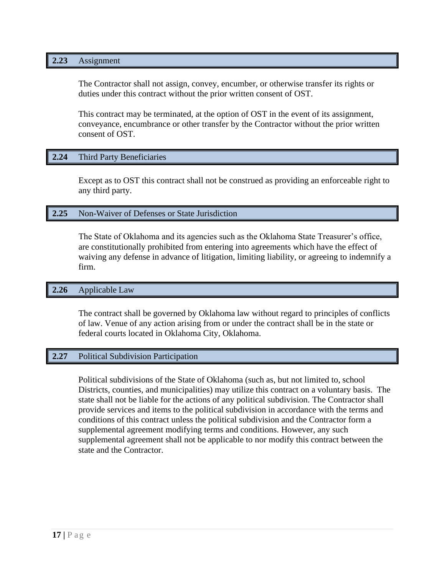#### **2.23** Assignment

The Contractor shall not assign, convey, encumber, or otherwise transfer its rights or duties under this contract without the prior written consent of OST.

This contract may be terminated, at the option of OST in the event of its assignment, conveyance, encumbrance or other transfer by the Contractor without the prior written consent of OST.

#### **2.24** Third Party Beneficiaries

Except as to OST this contract shall not be construed as providing an enforceable right to any third party.

#### **2.25** Non-Waiver of Defenses or State Jurisdiction

The State of Oklahoma and its agencies such as the Oklahoma State Treasurer's office, are constitutionally prohibited from entering into agreements which have the effect of waiving any defense in advance of litigation, limiting liability, or agreeing to indemnify a firm.

#### **2.26** Applicable Law

The contract shall be governed by Oklahoma law without regard to principles of conflicts of law. Venue of any action arising from or under the contract shall be in the state or federal courts located in Oklahoma City, Oklahoma.

#### **2.27** Political Subdivision Participation

Political subdivisions of the State of Oklahoma (such as, but not limited to, school Districts, counties, and municipalities) may utilize this contract on a voluntary basis. The state shall not be liable for the actions of any political subdivision. The Contractor shall provide services and items to the political subdivision in accordance with the terms and conditions of this contract unless the political subdivision and the Contractor form a supplemental agreement modifying terms and conditions. However, any such supplemental agreement shall not be applicable to nor modify this contract between the state and the Contractor.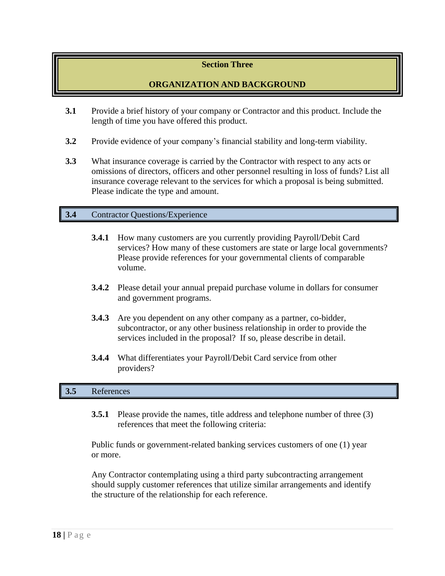# **Section Three**

# **ORGANIZATION AND BACKGROUND**

- **3.1** Provide a brief history of your company or Contractor and this product. Include the length of time you have offered this product.
- **3.2** Provide evidence of your company's financial stability and long-term viability.
- **3.3** What insurance coverage is carried by the Contractor with respect to any acts or omissions of directors, officers and other personnel resulting in loss of funds? List all insurance coverage relevant to the services for which a proposal is being submitted. Please indicate the type and amount.

# **3.4** Contractor Questions/Experience

- **3.4.1** How many customers are you currently providing Payroll/Debit Card services? How many of these customers are state or large local governments? Please provide references for your governmental clients of comparable volume.
- **3.4.2** Please detail your annual prepaid purchase volume in dollars for consumer and government programs.
- **3.4.3** Are you dependent on any other company as a partner, co-bidder, subcontractor, or any other business relationship in order to provide the services included in the proposal? If so, please describe in detail.
- **3.4.4** What differentiates your Payroll/Debit Card service from other providers?

# **3.5** References

**3.5.1** Please provide the names, title address and telephone number of three (3) references that meet the following criteria:

Public funds or government-related banking services customers of one (1) year or more.

Any Contractor contemplating using a third party subcontracting arrangement should supply customer references that utilize similar arrangements and identify the structure of the relationship for each reference.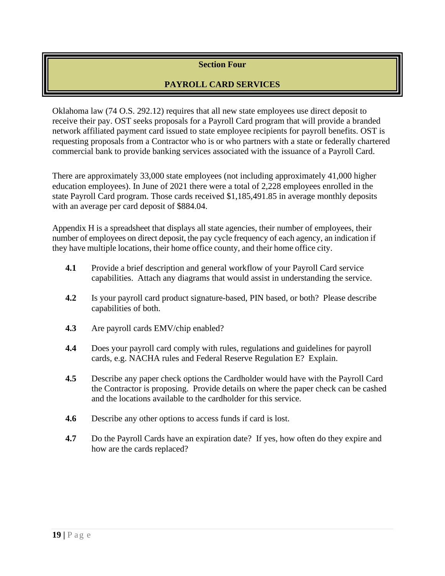# **Section Four**

# **PAYROLL CARD SERVICES**

Oklahoma law (74 O.S. 292.12) requires that all new state employees use direct deposit to receive their pay. OST seeks proposals for a Payroll Card program that will provide a branded network affiliated payment card issued to state employee recipients for payroll benefits. OST is requesting proposals from a Contractor who is or who partners with a state or federally chartered commercial bank to provide banking services associated with the issuance of a Payroll Card.

There are approximately 33,000 state employees (not including approximately 41,000 higher education employees). In June of 2021 there were a total of 2,228 employees enrolled in the state Payroll Card program. Those cards received \$1,185,491.85 in average monthly deposits with an average per card deposit of \$884.04.

Appendix H is a spreadsheet that displays all state agencies, their number of employees, their number of employees on direct deposit, the pay cycle frequency of each agency, an indication if they have multiple locations, their home office county, and their home office city.

- **4.1** Provide a brief description and general workflow of your Payroll Card service capabilities. Attach any diagrams that would assist in understanding the service.
- **4.2** Is your payroll card product signature-based, PIN based, or both? Please describe capabilities of both.
- **4.3** Are payroll cards EMV/chip enabled?
- **4.4** Does your payroll card comply with rules, regulations and guidelines for payroll cards, e.g. NACHA rules and Federal Reserve Regulation E? Explain.
- **4.5** Describe any paper check options the Cardholder would have with the Payroll Card the Contractor is proposing. Provide details on where the paper check can be cashed and the locations available to the cardholder for this service.
- **4.6** Describe any other options to access funds if card is lost.
- **4.7** Do the Payroll Cards have an expiration date? If yes, how often do they expire and how are the cards replaced?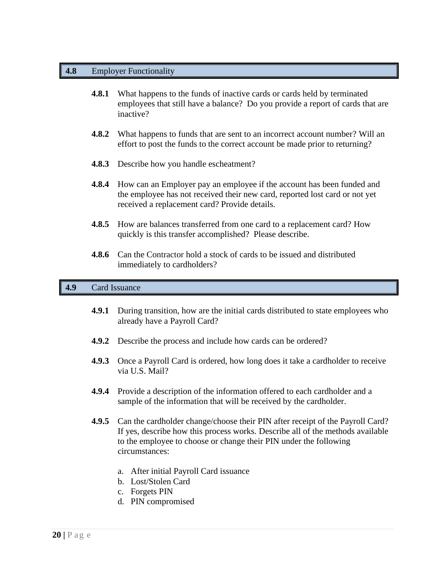## **4.8** Employer Functionality

- **4.8.1** What happens to the funds of inactive cards or cards held by terminated employees that still have a balance? Do you provide a report of cards that are inactive?
- **4.8.2** What happens to funds that are sent to an incorrect account number? Will an effort to post the funds to the correct account be made prior to returning?
- **4.8.3** Describe how you handle escheatment?
- **4.8.4** How can an Employer pay an employee if the account has been funded and the employee has not received their new card, reported lost card or not yet received a replacement card? Provide details.
- **4.8.5** How are balances transferred from one card to a replacement card? How quickly is this transfer accomplished? Please describe.
- **4.8.6** Can the Contractor hold a stock of cards to be issued and distributed immediately to cardholders?

## **4.9** Card Issuance

- **4.9.1** During transition, how are the initial cards distributed to state employees who already have a Payroll Card?
- **4.9.2** Describe the process and include how cards can be ordered?
- **4.9.3** Once a Payroll Card is ordered, how long does it take a cardholder to receive via U.S. Mail?
- **4.9.4** Provide a description of the information offered to each cardholder and a sample of the information that will be received by the cardholder.
- **4.9.5** Can the cardholder change/choose their PIN after receipt of the Payroll Card? If yes, describe how this process works. Describe all of the methods available to the employee to choose or change their PIN under the following circumstances:
	- a. After initial Payroll Card issuance
	- b. Lost/Stolen Card
	- c. Forgets PIN
	- d. PIN compromised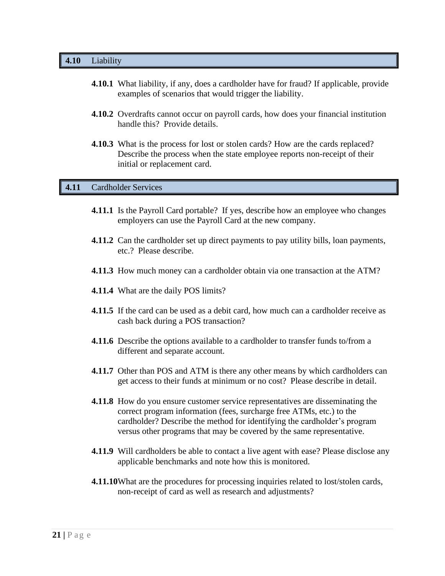#### **4.10** Liability

- **4.10.1** What liability, if any, does a cardholder have for fraud? If applicable, provide examples of scenarios that would trigger the liability.
- **4.10.2** Overdrafts cannot occur on payroll cards, how does your financial institution handle this? Provide details.
- **4.10.3** What is the process for lost or stolen cards? How are the cards replaced? Describe the process when the state employee reports non-receipt of their initial or replacement card.

#### **4.11** Cardholder Services

- **4.11.1** Is the Payroll Card portable? If yes, describe how an employee who changes employers can use the Payroll Card at the new company.
- **4.11.2** Can the cardholder set up direct payments to pay utility bills, loan payments, etc.? Please describe.
- **4.11.3** How much money can a cardholder obtain via one transaction at the ATM?
- **4.11.4** What are the daily POS limits?
- **4.11.5** If the card can be used as a debit card, how much can a cardholder receive as cash back during a POS transaction?
- **4.11.6** Describe the options available to a cardholder to transfer funds to/from a different and separate account.
- **4.11.7** Other than POS and ATM is there any other means by which cardholders can get access to their funds at minimum or no cost? Please describe in detail.
- **4.11.8** How do you ensure customer service representatives are disseminating the correct program information (fees, surcharge free ATMs, etc.) to the cardholder? Describe the method for identifying the cardholder's program versus other programs that may be covered by the same representative.
- **4.11.9** Will cardholders be able to contact a live agent with ease? Please disclose any applicable benchmarks and note how this is monitored.
- **4.11.10**What are the procedures for processing inquiries related to lost/stolen cards, non-receipt of card as well as research and adjustments?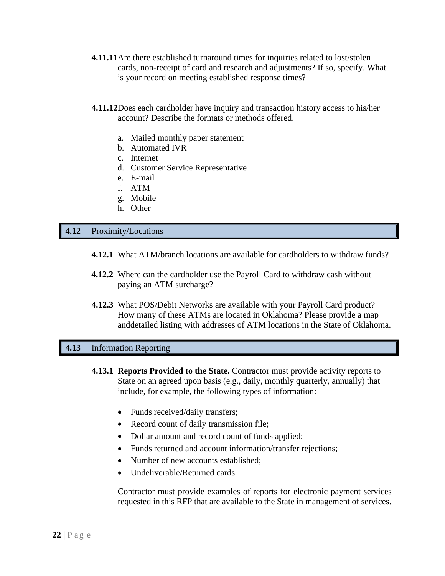- **4.11.11**Are there established turnaround times for inquiries related to lost/stolen cards, non-receipt of card and research and adjustments? If so, specify. What is your record on meeting established response times?
- **4.11.12**Does each cardholder have inquiry and transaction history access to his/her account? Describe the formats or methods offered.
	- a. Mailed monthly paper statement
	- b. Automated IVR
	- c. Internet
	- d. Customer Service Representative
	- e. E-mail
	- f. ATM
	- g. Mobile
	- h. Other

#### **4.12** Proximity/Locations

- **4.12.1** What ATM/branch locations are available for cardholders to withdraw funds?
- **4.12.2** Where can the cardholder use the Payroll Card to withdraw cash without paying an ATM surcharge?
- **4.12.3** What POS/Debit Networks are available with your Payroll Card product? How many of these ATMs are located in Oklahoma? Please provide a map anddetailed listing with addresses of ATM locations in the State of Oklahoma.

#### **4.13** Information Reporting

- **4.13.1 Reports Provided to the State.** Contractor must provide activity reports to State on an agreed upon basis (e.g., daily, monthly quarterly, annually) that include, for example, the following types of information:
	- Funds received/daily transfers;
	- Record count of daily transmission file;
	- Dollar amount and record count of funds applied;
	- Funds returned and account information/transfer rejections;
	- Number of new accounts established;
	- Undeliverable/Returned cards

Contractor must provide examples of reports for electronic payment services requested in this RFP that are available to the State in management of services.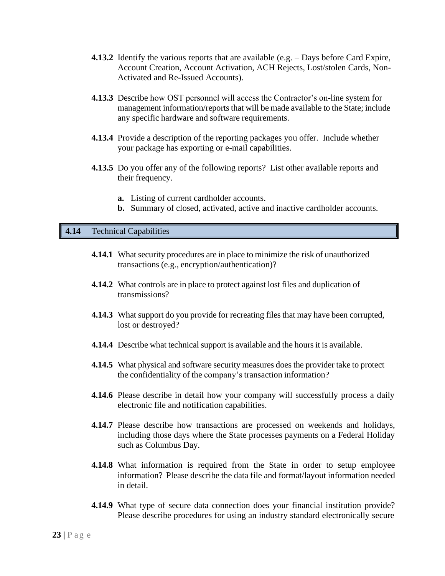- **4.13.2** Identify the various reports that are available (e.g. Days before Card Expire, Account Creation, Account Activation, ACH Rejects, Lost/stolen Cards, Non-Activated and Re-Issued Accounts).
- **4.13.3** Describe how OST personnel will access the Contractor's on-line system for management information/reports that will be made available to the State; include any specific hardware and software requirements.
- **4.13.4** Provide a description of the reporting packages you offer. Include whether your package has exporting or e-mail capabilities.
- **4.13.5** Do you offer any of the following reports? List other available reports and their frequency.
	- **a.** Listing of current cardholder accounts.
	- **b.** Summary of closed, activated, active and inactive cardholder accounts.

#### **4.14** Technical Capabilities

- **4.14.1** What security procedures are in place to minimize the risk of unauthorized transactions (e.g., encryption/authentication)?
- **4.14.2** What controls are in place to protect against lost files and duplication of transmissions?
- **4.14.3** What support do you provide for recreating files that may have been corrupted, lost or destroyed?
- **4.14.4** Describe what technical support is available and the hours it is available.
- **4.14.5** What physical and software security measures does the provider take to protect the confidentiality of the company's transaction information?
- **4.14.6** Please describe in detail how your company will successfully process a daily electronic file and notification capabilities.
- **4.14.7** Please describe how transactions are processed on weekends and holidays, including those days where the State processes payments on a Federal Holiday such as Columbus Day.
- **4.14.8** What information is required from the State in order to setup employee information? Please describe the data file and format/layout information needed in detail.
- **4.14.9** What type of secure data connection does your financial institution provide? Please describe procedures for using an industry standard electronically secure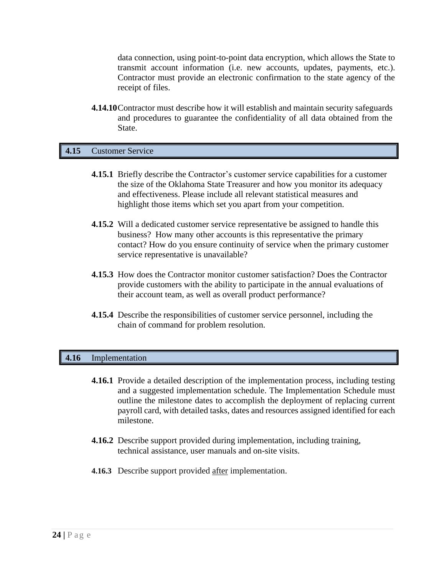data connection, using point-to-point data encryption, which allows the State to transmit account information (i.e. new accounts, updates, payments, etc.). Contractor must provide an electronic confirmation to the state agency of the receipt of files.

**4.14.10**Contractor must describe how it will establish and maintain security safeguards and procedures to guarantee the confidentiality of all data obtained from the State.

#### **4.15** Customer Service

- **4.15.1** Briefly describe the Contractor's customer service capabilities for a customer the size of the Oklahoma State Treasurer and how you monitor its adequacy and effectiveness. Please include all relevant statistical measures and highlight those items which set you apart from your competition.
- **4.15.2** Will a dedicated customer service representative be assigned to handle this business? How many other accounts is this representative the primary contact? How do you ensure continuity of service when the primary customer service representative is unavailable?
- **4.15.3** How does the Contractor monitor customer satisfaction? Does the Contractor provide customers with the ability to participate in the annual evaluations of their account team, as well as overall product performance?
- **4.15.4** Describe the responsibilities of customer service personnel, including the chain of command for problem resolution.

#### **4.16** Implementation

- **4.16.1** Provide a detailed description of the implementation process, including testing and a suggested implementation schedule. The Implementation Schedule must outline the milestone dates to accomplish the deployment of replacing current payroll card, with detailed tasks, dates and resources assigned identified for each milestone.
- **4.16.2** Describe support provided during implementation, including training, technical assistance, user manuals and on-site visits.
- **4.16.3** Describe support provided after implementation.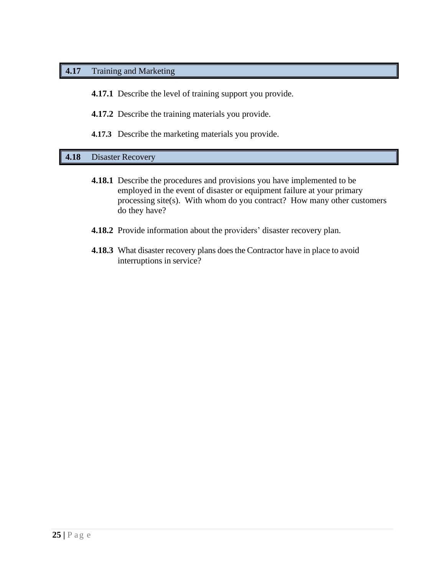# **4.17** Training and Marketing

**4.17.1** Describe the level of training support you provide.

**4.17.2** Describe the training materials you provide.

**4.17.3** Describe the marketing materials you provide.

# **4.18** Disaster Recovery

- **4.18.1** Describe the procedures and provisions you have implemented to be employed in the event of disaster or equipment failure at your primary processing site(s). With whom do you contract? How many other customers do they have?
- **4.18.2** Provide information about the providers' disaster recovery plan.
- **4.18.3** What disaster recovery plans does the Contractor have in place to avoid interruptions in service?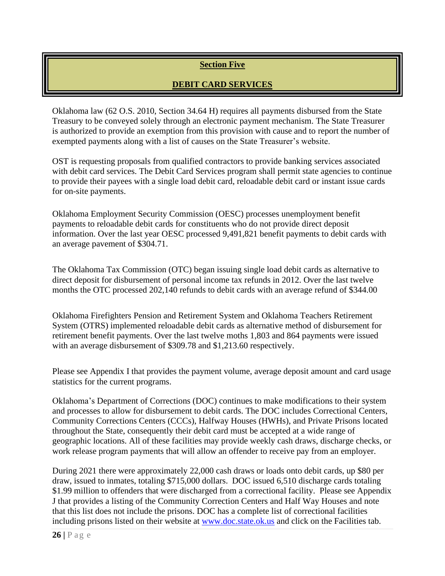# **Section Five**

# **DEBIT CARD SERVICES**

Oklahoma law (62 O.S. 2010, Section 34.64 H) requires all payments disbursed from the State Treasury to be conveyed solely through an electronic payment mechanism. The State Treasurer is authorized to provide an exemption from this provision with cause and to report the number of exempted payments along with a list of causes on the State Treasurer's website.

OST is requesting proposals from qualified contractors to provide banking services associated with debit card services. The Debit Card Services program shall permit state agencies to continue to provide their payees with a single load debit card, reloadable debit card or instant issue cards for on-site payments.

Oklahoma Employment Security Commission (OESC) processes unemployment benefit payments to reloadable debit cards for constituents who do not provide direct deposit information. Over the last year OESC processed 9,491,821 benefit payments to debit cards with an average pavement of \$304.71.

The Oklahoma Tax Commission (OTC) began issuing single load debit cards as alternative to direct deposit for disbursement of personal income tax refunds in 2012. Over the last twelve months the OTC processed 202,140 refunds to debit cards with an average refund of \$344.00

Oklahoma Firefighters Pension and Retirement System and Oklahoma Teachers Retirement System (OTRS) implemented reloadable debit cards as alternative method of disbursement for retirement benefit payments. Over the last twelve moths 1,803 and 864 payments were issued with an average disbursement of \$309.78 and \$1,213.60 respectively.

Please see Appendix I that provides the payment volume, average deposit amount and card usage statistics for the current programs.

Oklahoma's Department of Corrections (DOC) continues to make modifications to their system and processes to allow for disbursement to debit cards. The DOC includes Correctional Centers, Community Corrections Centers (CCCs), Halfway Houses (HWHs), and Private Prisons located throughout the State, consequently their debit card must be accepted at a wide range of geographic locations. All of these facilities may provide weekly cash draws, discharge checks, or work release program payments that will allow an offender to receive pay from an employer.

During 2021 there were approximately 22,000 cash draws or loads onto debit cards, up \$80 per draw, issued to inmates, totaling \$715,000 dollars. DOC issued 6,510 discharge cards totaling \$1.99 million to offenders that were discharged from a correctional facility. Please see Appendix J that provides a listing of the Community Correction Centers and Half Way Houses and note that this list does not include the prisons. DOC has a complete list of correctional facilities including prisons listed on their website at [www.doc.state.ok.us](http://www.doc.state.ok.us/) and click on the Facilities tab.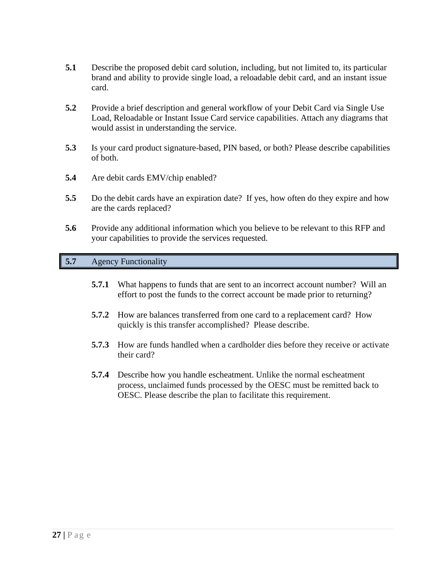- **5.1** Describe the proposed debit card solution, including, but not limited to, its particular brand and ability to provide single load, a reloadable debit card, and an instant issue card.
- **5.2** Provide a brief description and general workflow of your Debit Card via Single Use Load, Reloadable or Instant Issue Card service capabilities. Attach any diagrams that would assist in understanding the service.
- **5.3** Is your card product signature-based, PIN based, or both? Please describe capabilities of both.
- **5.4** Are debit cards EMV/chip enabled?
- **5.5** Do the debit cards have an expiration date? If yes, how often do they expire and how are the cards replaced?
- **5.6** Provide any additional information which you believe to be relevant to this RFP and your capabilities to provide the services requested.

# **5.7** Agency Functionality

- **5.7.1** What happens to funds that are sent to an incorrect account number? Will an effort to post the funds to the correct account be made prior to returning?
- **5.7.2** How are balances transferred from one card to a replacement card? How quickly is this transfer accomplished? Please describe.
- **5.7.3** How are funds handled when a cardholder dies before they receive or activate their card?
- **5.7.4** Describe how you handle escheatment. Unlike the normal escheatment process, unclaimed funds processed by the OESC must be remitted back to OESC. Please describe the plan to facilitate this requirement.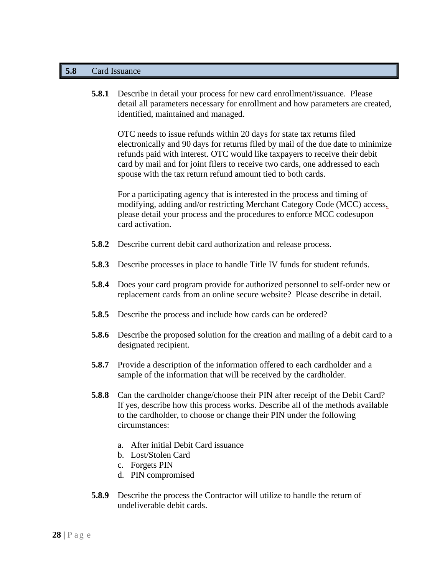#### **5.8** Card Issuance

**5.8.1** Describe in detail your process for new card enrollment/issuance. Please detail all parameters necessary for enrollment and how parameters are created, identified, maintained and managed.

OTC needs to issue refunds within 20 days for state tax returns filed electronically and 90 days for returns filed by mail of the due date to minimize refunds paid with interest. OTC would like taxpayers to receive their debit card by mail and for joint filers to receive two cards, one addressed to each spouse with the tax return refund amount tied to both cards.

For a participating agency that is interested in the process and timing of modifying, adding and/or restricting Merchant Category Code (MCC) access, please detail your process and the procedures to enforce MCC codesupon card activation.

- **5.8.2** Describe current debit card authorization and release process.
- **5.8.3** Describe processes in place to handle Title IV funds for student refunds.
- **5.8.4** Does your card program provide for authorized personnel to self-order new or replacement cards from an online secure website? Please describe in detail.
- **5.8.5** Describe the process and include how cards can be ordered?
- **5.8.6** Describe the proposed solution for the creation and mailing of a debit card to a designated recipient.
- **5.8.7** Provide a description of the information offered to each cardholder and a sample of the information that will be received by the cardholder.
- **5.8.8** Can the cardholder change/choose their PIN after receipt of the Debit Card? If yes, describe how this process works. Describe all of the methods available to the cardholder, to choose or change their PIN under the following circumstances:
	- a. After initial Debit Card issuance
	- b. Lost/Stolen Card
	- c. Forgets PIN
	- d. PIN compromised
- **5.8.9** Describe the process the Contractor will utilize to handle the return of undeliverable debit cards.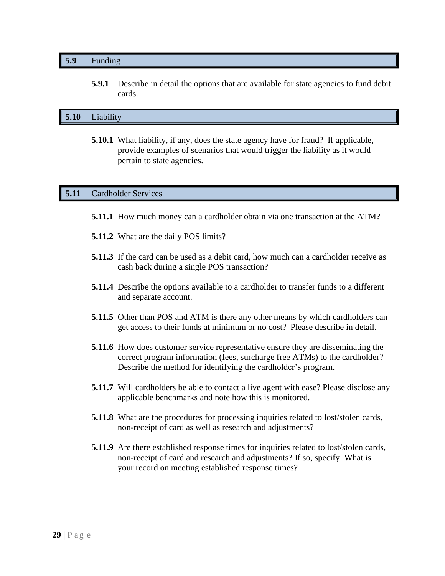#### **5.9** Funding

**5.9.1** Describe in detail the options that are available for state agencies to fund debit cards.

# **5.10** Liability

**5.10.1** What liability, if any, does the state agency have for fraud? If applicable, provide examples of scenarios that would trigger the liability as it would pertain to state agencies.

#### **5.11** Cardholder Services

- **5.11.1** How much money can a cardholder obtain via one transaction at the ATM?
- **5.11.2** What are the daily POS limits?
- **5.11.3** If the card can be used as a debit card, how much can a cardholder receive as cash back during a single POS transaction?
- **5.11.4** Describe the options available to a cardholder to transfer funds to a different and separate account.
- **5.11.5** Other than POS and ATM is there any other means by which cardholders can get access to their funds at minimum or no cost? Please describe in detail.
- **5.11.6** How does customer service representative ensure they are disseminating the correct program information (fees, surcharge free ATMs) to the cardholder? Describe the method for identifying the cardholder's program.
- **5.11.7** Will cardholders be able to contact a live agent with ease? Please disclose any applicable benchmarks and note how this is monitored.
- **5.11.8** What are the procedures for processing inquiries related to lost/stolen cards, non-receipt of card as well as research and adjustments?
- **5.11.9** Are there established response times for inquiries related to lost/stolen cards, non-receipt of card and research and adjustments? If so, specify. What is your record on meeting established response times?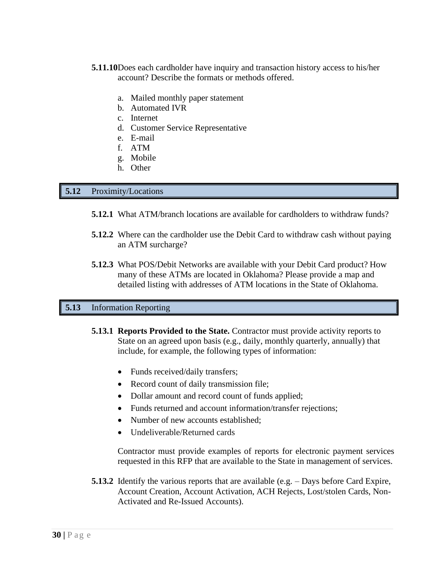- **5.11.10**Does each cardholder have inquiry and transaction history access to his/her account? Describe the formats or methods offered.
	- a. Mailed monthly paper statement
	- b. Automated IVR
	- c. Internet
	- d. Customer Service Representative
	- e. E-mail
	- f. ATM
	- g. Mobile
	- h. Other

#### **5.12** Proximity/Locations

- **5.12.1** What ATM/branch locations are available for cardholders to withdraw funds?
- **5.12.2** Where can the cardholder use the Debit Card to withdraw cash without paying an ATM surcharge?
- **5.12.3** What POS/Debit Networks are available with your Debit Card product? How many of these ATMs are located in Oklahoma? Please provide a map and detailed listing with addresses of ATM locations in the State of Oklahoma.

# **5.13** Information Reporting

- **5.13.1 Reports Provided to the State.** Contractor must provide activity reports to State on an agreed upon basis (e.g., daily, monthly quarterly, annually) that include, for example, the following types of information:
	- Funds received/daily transfers;
	- Record count of daily transmission file;
	- Dollar amount and record count of funds applied;
	- Funds returned and account information/transfer rejections;
	- Number of new accounts established;
	- Undeliverable/Returned cards

Contractor must provide examples of reports for electronic payment services requested in this RFP that are available to the State in management of services.

**5.13.2** Identify the various reports that are available (e.g. – Days before Card Expire, Account Creation, Account Activation, ACH Rejects, Lost/stolen Cards, Non-Activated and Re-Issued Accounts).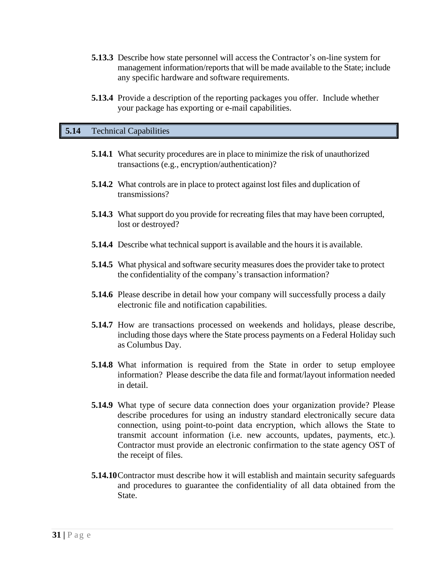- **5.13.3** Describe how state personnel will access the Contractor's on-line system for management information/reports that will be made available to the State; include any specific hardware and software requirements.
- **5.13.4** Provide a description of the reporting packages you offer. Include whether your package has exporting or e-mail capabilities.

#### **5.14** Technical Capabilities

- **5.14.1** What security procedures are in place to minimize the risk of unauthorized transactions (e.g., encryption/authentication)?
- **5.14.2** What controls are in place to protect against lost files and duplication of transmissions?
- **5.14.3** What support do you provide for recreating files that may have been corrupted, lost or destroyed?
- **5.14.4** Describe what technical support is available and the hours it is available.
- **5.14.5** What physical and software security measures does the provider take to protect the confidentiality of the company's transaction information?
- **5.14.6** Please describe in detail how your company will successfully process a daily electronic file and notification capabilities.
- **5.14.7** How are transactions processed on weekends and holidays, please describe, including those days where the State process payments on a Federal Holiday such as Columbus Day.
- **5.14.8** What information is required from the State in order to setup employee information? Please describe the data file and format/layout information needed in detail.
- **5.14.9** What type of secure data connection does your organization provide? Please describe procedures for using an industry standard electronically secure data connection, using point-to-point data encryption, which allows the State to transmit account information (i.e. new accounts, updates, payments, etc.). Contractor must provide an electronic confirmation to the state agency OST of the receipt of files.
- **5.14.10**Contractor must describe how it will establish and maintain security safeguards and procedures to guarantee the confidentiality of all data obtained from the State.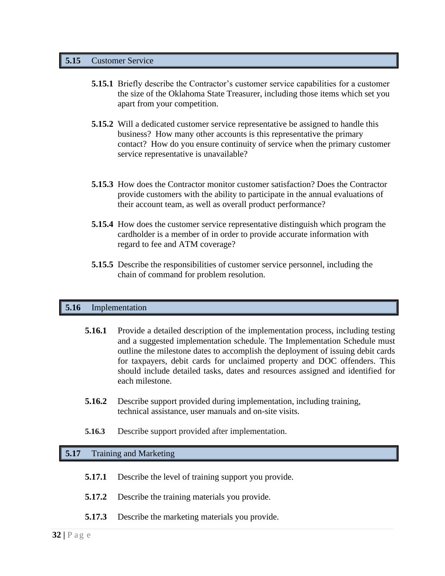#### **5.15** Customer Service

- **5.15.1** Briefly describe the Contractor's customer service capabilities for a customer the size of the Oklahoma State Treasurer, including those items which set you apart from your competition.
- **5.15.2** Will a dedicated customer service representative be assigned to handle this business? How many other accounts is this representative the primary contact? How do you ensure continuity of service when the primary customer service representative is unavailable?
- **5.15.3** How does the Contractor monitor customer satisfaction? Does the Contractor provide customers with the ability to participate in the annual evaluations of their account team, as well as overall product performance?
- **5.15.4** How does the customer service representative distinguish which program the cardholder is a member of in order to provide accurate information with regard to fee and ATM coverage?
- **5.15.5** Describe the responsibilities of customer service personnel, including the chain of command for problem resolution.

# **5.16** Implementation

- **5.16.1** Provide a detailed description of the implementation process, including testing and a suggested implementation schedule. The Implementation Schedule must outline the milestone dates to accomplish the deployment of issuing debit cards for taxpayers, debit cards for unclaimed property and DOC offenders. This should include detailed tasks, dates and resources assigned and identified for each milestone.
- **5.16.2** Describe support provided during implementation, including training, technical assistance, user manuals and on-site visits.
- **5.16.3** Describe support provided after implementation.

#### **5.17** Training and Marketing

- **5.17.1** Describe the level of training support you provide.
- **5.17.2** Describe the training materials you provide.
- **5.17.3** Describe the marketing materials you provide.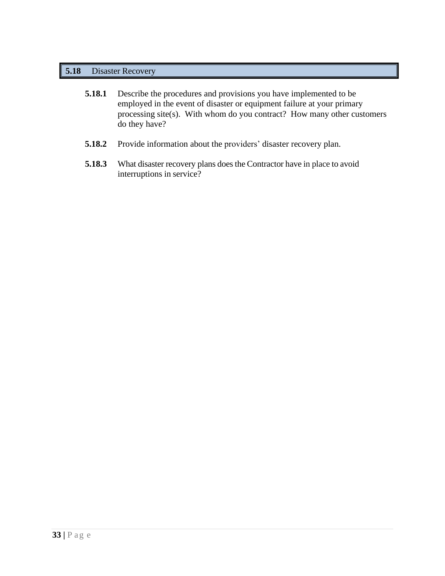# **5.18** Disaster Recovery

| 5.18.1 | Describe the procedures and provisions you have implemented to be       |  |  |
|--------|-------------------------------------------------------------------------|--|--|
|        | employed in the event of disaster or equipment failure at your primary  |  |  |
|        | processing site(s). With whom do you contract? How many other customers |  |  |
|        | do they have?                                                           |  |  |

- **5.18.2** Provide information about the providers' disaster recovery plan.
- **5.18.3** What disaster recovery plans does the Contractor have in place to avoid interruptions in service?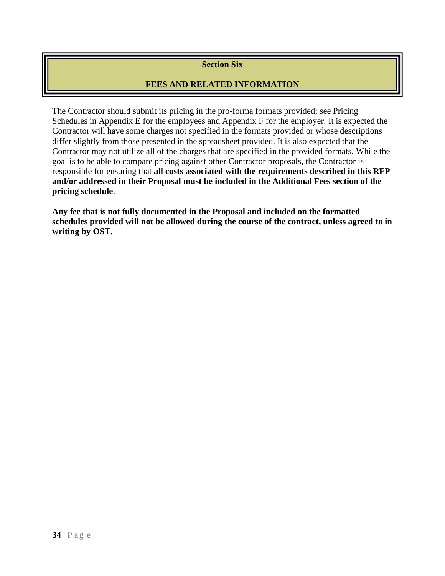# **Section Six**

# **FEES AND RELATED INFORMATION**

The Contractor should submit its pricing in the pro-forma formats provided; see Pricing Schedules in Appendix E for the employees and Appendix F for the employer. It is expected the Contractor will have some charges not specified in the formats provided or whose descriptions differ slightly from those presented in the spreadsheet provided. It is also expected that the Contractor may not utilize all of the charges that are specified in the provided formats. While the goal is to be able to compare pricing against other Contractor proposals, the Contractor is responsible for ensuring that **all costs associated with the requirements described in this RFP and/or addressed in their Proposal must be included in the Additional Fees section of the pricing schedule**.

**Any fee that is not fully documented in the Proposal and included on the formatted schedules provided will not be allowed during the course of the contract, unless agreed to in writing by OST.**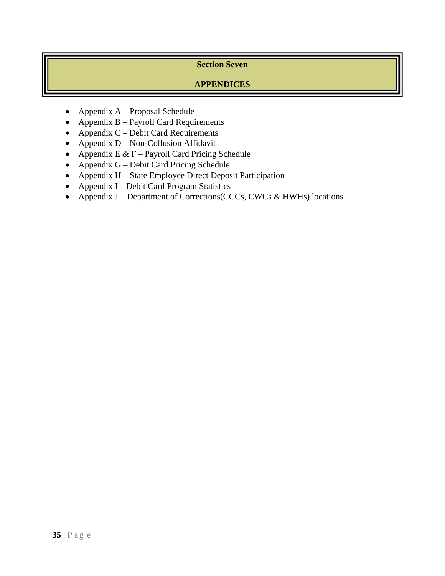# **Section Seven**

# **APPENDICES**

- Appendix  $A -$ Proposal Schedule
- Appendix B Payroll Card Requirements
- Appendix  $C -$  Debit Card Requirements
- Appendix D Non-Collusion Affidavit
- Appendix  $E & F$  Payroll Card Pricing Schedule
- Appendix G Debit Card Pricing Schedule
- Appendix H State Employee Direct Deposit Participation
- Appendix I Debit Card Program Statistics
- Appendix J Department of Corrections(CCCs, CWCs & HWHs) locations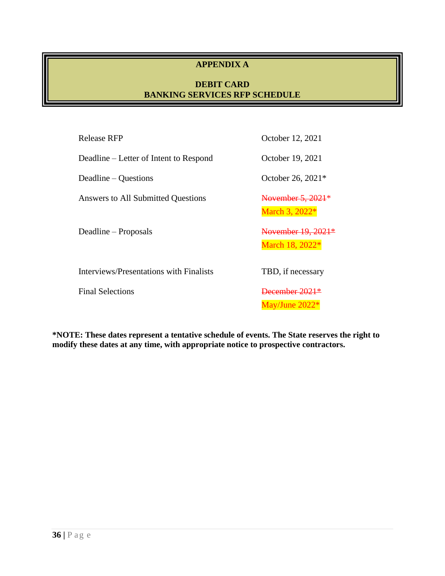# **APPENDIX A**

# **DEBIT CARD BANKING SERVICES RFP SCHEDULE**

| Release RFP                             | October 12, 2021                                |
|-----------------------------------------|-------------------------------------------------|
| Deadline – Letter of Intent to Respond  | October 19, 2021                                |
| Deadline – Questions                    | October 26, 2021*                               |
| Answers to All Submitted Questions      | November 5, 2021 <sup>*</sup><br>March 3, 2022* |
| Deadline – Proposals                    | November 19, 2021*<br>March 18, 2022*           |
| Interviews/Presentations with Finalists | TBD, if necessary                               |
| <b>Final Selections</b>                 |                                                 |

**\*NOTE: These dates represent a tentative schedule of events. The State reserves the right to modify these dates at any time, with appropriate notice to prospective contractors.**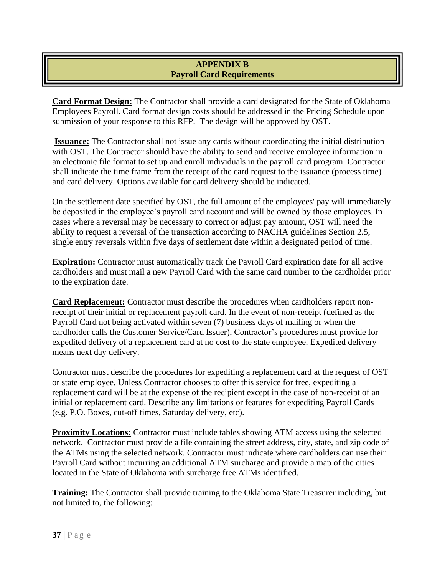# **APPENDIX B Payroll Card Requirements**

**Card Format Design:** The Contractor shall provide a card designated for the State of Oklahoma Employees Payroll. Card format design costs should be addressed in the Pricing Schedule upon submission of your response to this RFP. The design will be approved by OST.

**Issuance:** The Contractor shall not issue any cards without coordinating the initial distribution with OST. The Contractor should have the ability to send and receive employee information in an electronic file format to set up and enroll individuals in the payroll card program. Contractor shall indicate the time frame from the receipt of the card request to the issuance (process time) and card delivery. Options available for card delivery should be indicated.

On the settlement date specified by OST, the full amount of the employees' pay will immediately be deposited in the employee's payroll card account and will be owned by those employees. In cases where a reversal may be necessary to correct or adjust pay amount, OST will need the ability to request a reversal of the transaction according to NACHA guidelines Section 2.5, single entry reversals within five days of settlement date within a designated period of time.

**Expiration:** Contractor must automatically track the Payroll Card expiration date for all active cardholders and must mail a new Payroll Card with the same card number to the cardholder prior to the expiration date.

**Card Replacement:** Contractor must describe the procedures when cardholders report nonreceipt of their initial or replacement payroll card. In the event of non-receipt (defined as the Payroll Card not being activated within seven (7) business days of mailing or when the cardholder calls the Customer Service/Card Issuer), Contractor's procedures must provide for expedited delivery of a replacement card at no cost to the state employee. Expedited delivery means next day delivery.

Contractor must describe the procedures for expediting a replacement card at the request of OST or state employee. Unless Contractor chooses to offer this service for free, expediting a replacement card will be at the expense of the recipient except in the case of non-receipt of an initial or replacement card. Describe any limitations or features for expediting Payroll Cards (e.g. P.O. Boxes, cut-off times, Saturday delivery, etc).

**Proximity Locations:** Contractor must include tables showing ATM access using the selected network. Contractor must provide a file containing the street address, city, state, and zip code of the ATMs using the selected network. Contractor must indicate where cardholders can use their Payroll Card without incurring an additional ATM surcharge and provide a map of the cities located in the State of Oklahoma with surcharge free ATMs identified.

**Training:** The Contractor shall provide training to the Oklahoma State Treasurer including, but not limited to, the following: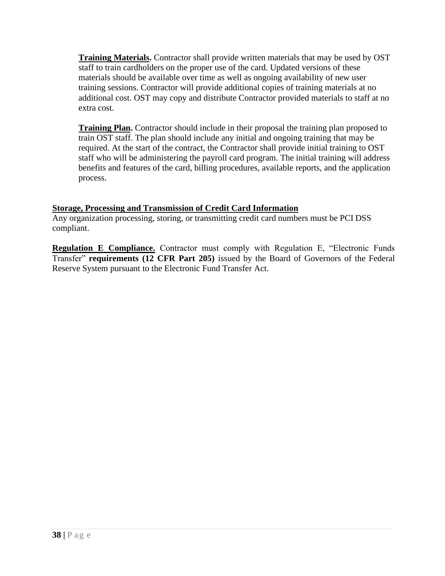**Training Materials.** Contractor shall provide written materials that may be used by OST staff to train cardholders on the proper use of the card. Updated versions of these materials should be available over time as well as ongoing availability of new user training sessions. Contractor will provide additional copies of training materials at no additional cost. OST may copy and distribute Contractor provided materials to staff at no extra cost.

**Training Plan.** Contractor should include in their proposal the training plan proposed to train OST staff. The plan should include any initial and ongoing training that may be required. At the start of the contract, the Contractor shall provide initial training to OST staff who will be administering the payroll card program. The initial training will address benefits and features of the card, billing procedures, available reports, and the application process.

# **Storage, Processing and Transmission of Credit Card Information**

Any organization processing, storing, or transmitting credit card numbers must be PCI DSS compliant.

**Regulation E Compliance.** Contractor must comply with Regulation E, "Electronic Funds Transfer" **requirements (12 CFR Part 205)** issued by the Board of Governors of the Federal Reserve System pursuant to the Electronic Fund Transfer Act.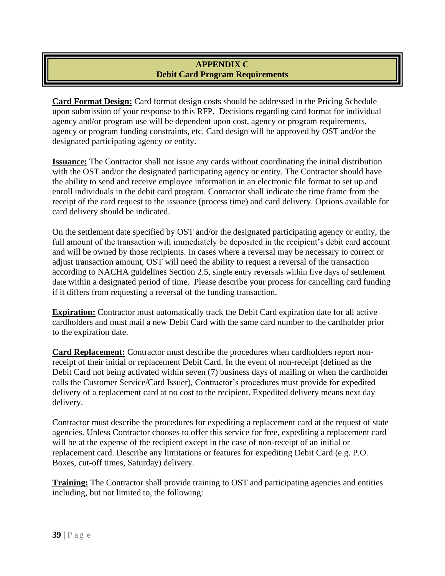# **APPENDIX C Debit Card Program Requirements**

**Card Format Design:** Card format design costs should be addressed in the Pricing Schedule upon submission of your response to this RFP. Decisions regarding card format for individual agency and/or program use will be dependent upon cost, agency or program requirements, agency or program funding constraints, etc. Card design will be approved by OST and/or the designated participating agency or entity.

**Issuance:** The Contractor shall not issue any cards without coordinating the initial distribution with the OST and/or the designated participating agency or entity. The Contractor should have the ability to send and receive employee information in an electronic file format to set up and enroll individuals in the debit card program. Contractor shall indicate the time frame from the receipt of the card request to the issuance (process time) and card delivery. Options available for card delivery should be indicated.

On the settlement date specified by OST and/or the designated participating agency or entity, the full amount of the transaction will immediately be deposited in the recipient's debit card account and will be owned by those recipients. In cases where a reversal may be necessary to correct or adjust transaction amount, OST will need the ability to request a reversal of the transaction according to NACHA guidelines Section 2.5, single entry reversals within five days of settlement date within a designated period of time. Please describe your process for cancelling card funding if it differs from requesting a reversal of the funding transaction.

**Expiration:** Contractor must automatically track the Debit Card expiration date for all active cardholders and must mail a new Debit Card with the same card number to the cardholder prior to the expiration date.

**Card Replacement:** Contractor must describe the procedures when cardholders report nonreceipt of their initial or replacement Debit Card. In the event of non-receipt (defined as the Debit Card not being activated within seven (7) business days of mailing or when the cardholder calls the Customer Service/Card Issuer), Contractor's procedures must provide for expedited delivery of a replacement card at no cost to the recipient. Expedited delivery means next day delivery.

Contractor must describe the procedures for expediting a replacement card at the request of state agencies. Unless Contractor chooses to offer this service for free, expediting a replacement card will be at the expense of the recipient except in the case of non-receipt of an initial or replacement card. Describe any limitations or features for expediting Debit Card (e.g. P.O. Boxes, cut-off times, Saturday) delivery.

**Training:** The Contractor shall provide training to OST and participating agencies and entities including, but not limited to, the following: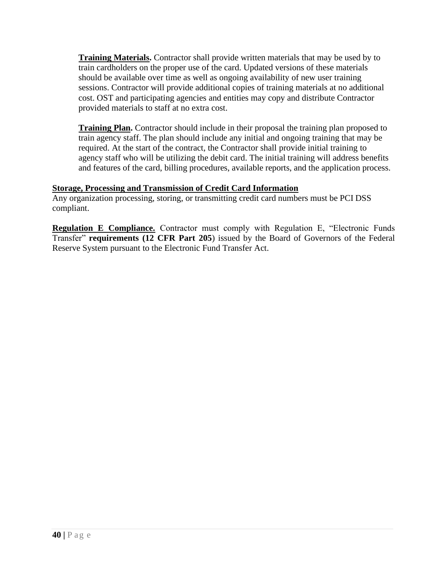**Training Materials.** Contractor shall provide written materials that may be used by to train cardholders on the proper use of the card. Updated versions of these materials should be available over time as well as ongoing availability of new user training sessions. Contractor will provide additional copies of training materials at no additional cost. OST and participating agencies and entities may copy and distribute Contractor provided materials to staff at no extra cost.

**Training Plan.** Contractor should include in their proposal the training plan proposed to train agency staff. The plan should include any initial and ongoing training that may be required. At the start of the contract, the Contractor shall provide initial training to agency staff who will be utilizing the debit card. The initial training will address benefits and features of the card, billing procedures, available reports, and the application process.

# **Storage, Processing and Transmission of Credit Card Information**

Any organization processing, storing, or transmitting credit card numbers must be PCI DSS compliant.

**Regulation E Compliance.** Contractor must comply with Regulation E, "Electronic Funds Transfer" **requirements (12 CFR Part 205**) issued by the Board of Governors of the Federal Reserve System pursuant to the Electronic Fund Transfer Act.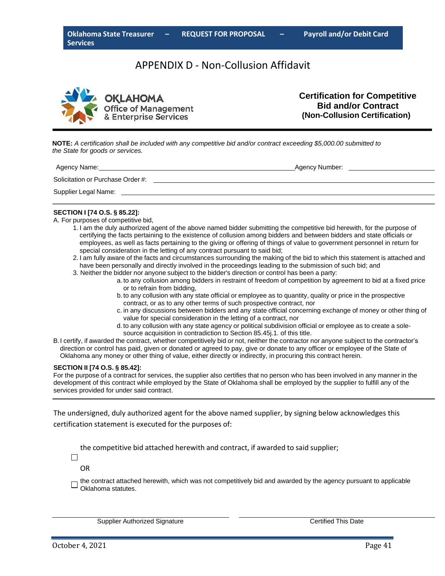# APPENDIX D ‐ Non‐Collusion Affidavit



**Certification for Competitive Bid and/or Contract (Non-Collusion Certification)**

**NOTE:** *A certification shall be included with any competitive bid and/or contract exceeding \$5,000.00 submitted to the State for goods or services.*

| Agency Name:                      | Agency Number: |
|-----------------------------------|----------------|
| Solicitation or Purchase Order #: |                |
| Supplier Legal Name:              |                |

#### **SECTION I [74 O.S. § 85.22]:**

A. For purposes of competitive bid,

- 1. I am the duly authorized agent of the above named bidder submitting the competitive bid herewith, for the purpose of certifying the facts pertaining to the existence of collusion among bidders and between bidders and state officials or employees, as well as facts pertaining to the giving or offering of things of value to government personnel in return for special consideration in the letting of any contract pursuant to said bid;
- 2. I am fully aware of the facts and circumstances surrounding the making of the bid to which this statement is attached and have been personally and directly involved in the proceedings leading to the submission of such bid; and
- 3. Neither the bidder nor anyone subject to the bidder's direction or control has been a party:
	- a. to any collusion among bidders in restraint of freedom of competition by agreement to bid at a fixed price or to refrain from bidding,
	- b. to any collusion with any state official or employee as to quantity, quality or price in the prospective contract, or as to any other terms of such prospective contract, nor
	- c. in any discussions between bidders and any state official concerning exchange of money or other thing of value for special consideration in the letting of a contract, nor
	- d. to any collusion with any state agency or political subdivision official or employee as to create a solesource acquisition in contradiction to Section 85.45j.1. of this title.
- B.I certify, if awarded the contract, whether competitively bid or not, neither the contractor nor anyone subject to the contractor's direction or control has paid, given or donated or agreed to pay, give or donate to any officer or employee of the State of Oklahoma any money or other thing of value, either directly or indirectly, in procuring this contract herein.

#### **SECTION II [74 O.S. § 85.42]:**

For the purpose of a contract for services, the supplier also certifies that no person who has been involved in any manner in the development of this contract while employed by the State of Oklahoma shall be employed by the supplier to fulfill any of the services provided for under said contract.

The undersigned, duly authorized agent for the above named supplier, by signing below acknowledges this certification statement is executed for the purposes of:

the competitive bid attached herewith and contract, if awarded to said supplier;

 $\Box$ OR

> the contract attached herewith, which was not competitively bid and awarded by the agency pursuant to applicable Oklahoma statutes.

Supplier Authorized Signature **Certified This Date**